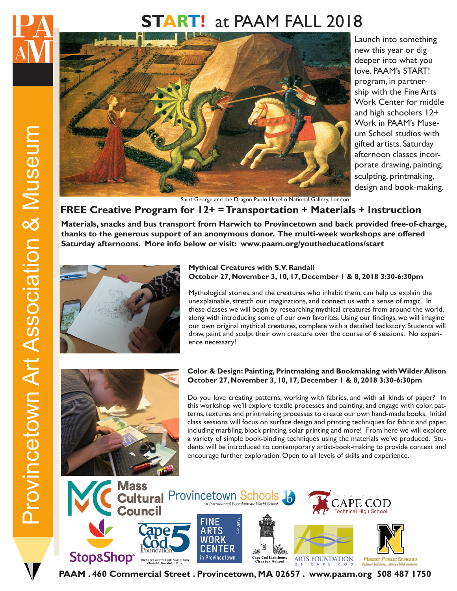# **START!** at PAAM FALL 2018



Launch into something new this year or dig deeper into what you love. PAAM's START! program, in partnership with the Fine Arts Work Center for middle and high schoolers 12+ Work in PAAM's Museum School studios with gifted artists. Saturday afternoon classes incorporate drawing, painting, sculpting, printmaking, design and book-making.

Saint George and the Dragon Paolo Uccello National Gallery, London

### **FREE Creative Program for 12+ = Transportation + Materials + Instruction**

**Materials, snacks and bus transport from Harwich to Provincetown and back provided free-of-charge, thanks to the generous support of an anonymous donor. The multi-week workshops are offered Saturday afternoons. More info below or visit: www.paam.org/youtheducations/start** 



#### **Mythical Creatures with S.V. Randall October 27, November 3, 10, 17, December 1 & 8, 2018 3:30-6:30pm**

Mythological stories, and the creatures who inhabit them, can help us explain the unexplainable, stretch our imaginations, and connect us with a sense of magic. In these classes we will begin by researching mythical creatures from around the world, along with introducing some of our own favorites. Using our findings, we will imagine our own original mythical creatures, complete with a detailed backstory. Students will draw, paint and sculpt their own creature over the course of 6 sessions. No experience necessary!



#### **Color & Design: Painting, Printmaking and Bookmaking with Wilder Alison October 27, November 3, 10, 17, December 1 & 8, 2018 3:30-6:30pm**

Do you love creating patterns, working with fabrics, and with all kinds of paper? In this workshop we'll explore textile processes and painting, and engage with color, patterns, textures and printmaking processes to create our own hand-made books. Initial class sessions will focus on surface design and printing techniques for fabric and paper, including marbling, block printing, solar printing and more! From here we will explore a variety of simple book-binding techniques using the materials we've produced. Students will be introduced to contemporary artist-book-making to provide context and encourage further exploration. Open to all levels of skills and experience.



**PAAM . 460 Commercial Street . Provincetown, MA 02657 . www.paam.org 508 487 1750**